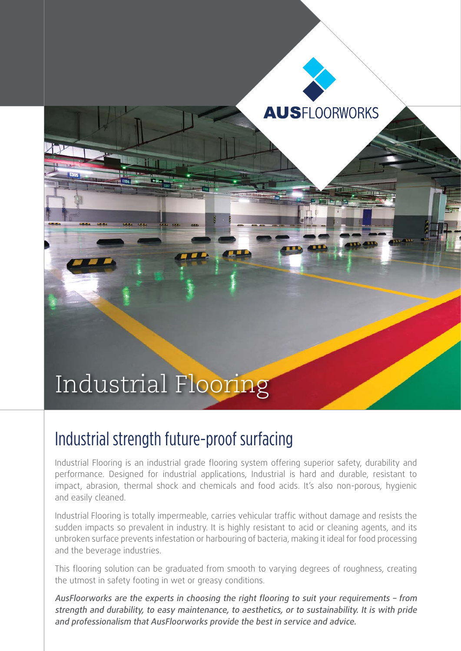

## Industrial strength future-proof surfacing

Industrial Flooring is an industrial grade flooring system offering superior safety, durability and performance. Designed for industrial applications, Industrial is hard and durable, resistant to impact, abrasion, thermal shock and chemicals and food acids. It's also non-porous, hygienic and easily cleaned.

Industrial Flooring is totally impermeable, carries vehicular traffic without damage and resists the sudden impacts so prevalent in industry. It is highly resistant to acid or cleaning agents, and its unbroken surface prevents infestation or harbouring of bacteria, making it ideal for food processing and the beverage industries.

This flooring solution can be graduated from smooth to varying degrees of roughness, creating the utmost in safety footing in wet or greasy conditions.

AusFloorworks are the experts in choosing the right flooring to suit your requirements – from strength and durability, to easy maintenance, to aesthetics, or to sustainability. It is with pride and professionalism that AusFloorworks provide the best in service and advice.